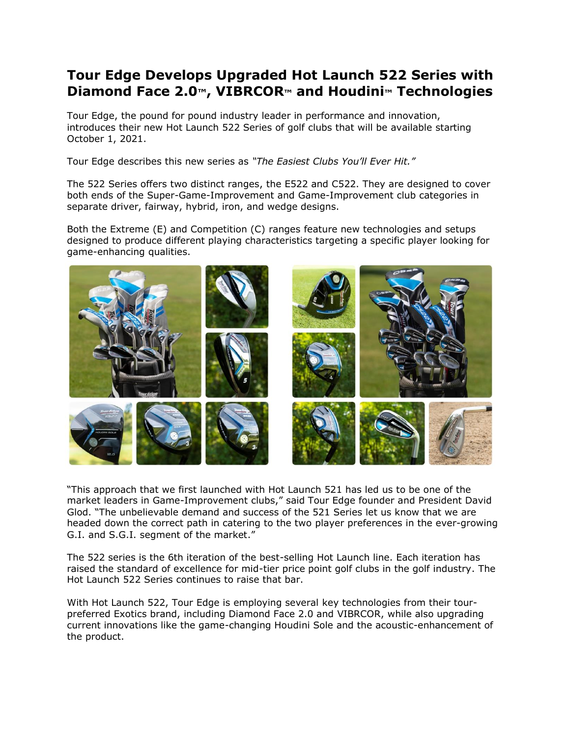# **Tour Edge Develops Upgraded Hot Launch 522 Series with Diamond Face 2.0™, VIBRCOR™ and Houdini™ Technologies**

Tour Edge, the pound for pound industry leader in performance and innovation, introduces their new Hot Launch 522 Series of golf clubs that will be available starting October 1, 2021.

Tour Edge describes this new series as *"The Easiest Clubs You'll Ever Hit."*

The 522 Series offers two distinct ranges, the E522 and C522. They are designed to cover both ends of the Super-Game-Improvement and Game-Improvement club categories in separate driver, fairway, hybrid, iron, and wedge designs.

Both the Extreme (E) and Competition (C) ranges feature new technologies and setups designed to produce different playing characteristics targeting a specific player looking for game-enhancing qualities.



"This approach that we first launched with Hot Launch 521 has led us to be one of the market leaders in Game-Improvement clubs," said Tour Edge founder and President David Glod. "The unbelievable demand and success of the 521 Series let us know that we are headed down the correct path in catering to the two player preferences in the ever-growing G.I. and S.G.I. segment of the market."

The 522 series is the 6th iteration of the best-selling Hot Launch line. Each iteration has raised the standard of excellence for mid-tier price point golf clubs in the golf industry. The Hot Launch 522 Series continues to raise that bar.

With Hot Launch 522, Tour Edge is employing several key technologies from their tourpreferred Exotics brand, including Diamond Face 2.0 and VIBRCOR, while also upgrading current innovations like the game-changing Houdini Sole and the acoustic-enhancement of the product.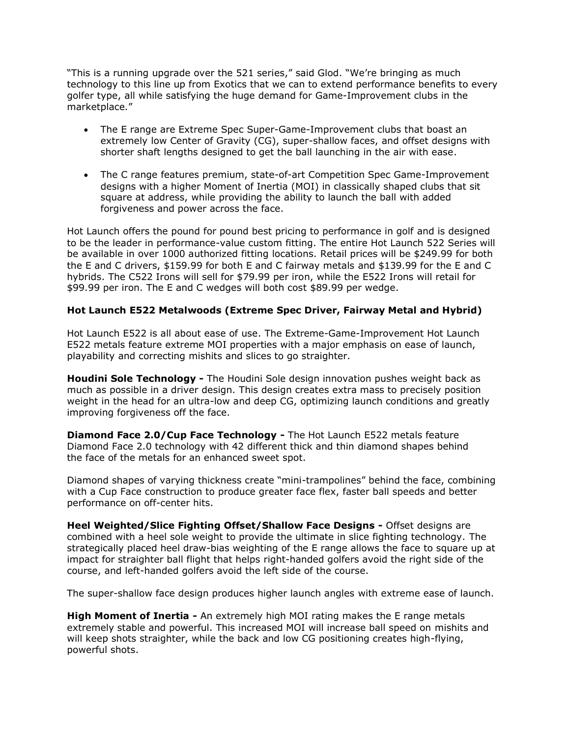"This is a running upgrade over the 521 series," said Glod. "We're bringing as much technology to this line up from Exotics that we can to extend performance benefits to every golfer type, all while satisfying the huge demand for Game-Improvement clubs in the marketplace."

- The E range are Extreme Spec Super-Game-Improvement clubs that boast an extremely low Center of Gravity (CG), super-shallow faces, and offset designs with shorter shaft lengths designed to get the ball launching in the air with ease.
- The C range features premium, state-of-art Competition Spec Game-Improvement designs with a higher Moment of Inertia (MOI) in classically shaped clubs that sit square at address, while providing the ability to launch the ball with added forgiveness and power across the face.

Hot Launch offers the pound for pound best pricing to performance in golf and is designed to be the leader in performance-value custom fitting. The entire Hot Launch 522 Series will be available in over 1000 authorized fitting locations. Retail prices will be \$249.99 for both the E and C drivers, \$159.99 for both E and C fairway metals and \$139.99 for the E and C hybrids. The C522 Irons will sell for \$79.99 per iron, while the E522 Irons will retail for \$99.99 per iron. The E and C wedges will both cost \$89.99 per wedge.

# **Hot Launch E522 Metalwoods (Extreme Spec Driver, Fairway Metal and Hybrid)**

Hot Launch E522 is all about ease of use. The Extreme-Game-Improvement Hot Launch E522 metals feature extreme MOI properties with a major emphasis on ease of launch, playability and correcting mishits and slices to go straighter.

**Houdini Sole Technology -** The Houdini Sole design innovation pushes weight back as much as possible in a driver design. This design creates extra mass to precisely position weight in the head for an ultra-low and deep CG, optimizing launch conditions and greatly improving forgiveness off the face.

**Diamond Face 2.0/Cup Face Technology -** The Hot Launch E522 metals feature Diamond Face 2.0 technology with 42 different thick and thin diamond shapes behind the face of the metals for an enhanced sweet spot.

Diamond shapes of varying thickness create "mini-trampolines" behind the face, combining with a Cup Face construction to produce greater face flex, faster ball speeds and better performance on off-center hits.

**Heel Weighted/Slice Fighting Offset/Shallow Face Designs -** Offset designs are combined with a heel sole weight to provide the ultimate in slice fighting technology. The strategically placed heel draw-bias weighting of the E range allows the face to square up at impact for straighter ball flight that helps right-handed golfers avoid the right side of the course, and left-handed golfers avoid the left side of the course.

The super-shallow face design produces higher launch angles with extreme ease of launch.

**High Moment of Inertia -** An extremely high MOI rating makes the E range metals extremely stable and powerful. This increased MOI will increase ball speed on mishits and will keep shots straighter, while the back and low CG positioning creates high-flying, powerful shots.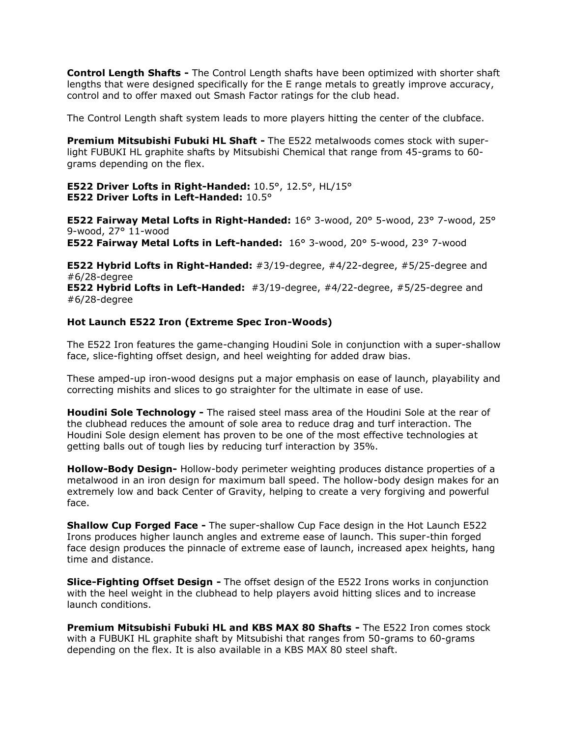**Control Length Shafts -** The Control Length shafts have been optimized with shorter shaft lengths that were designed specifically for the E range metals to greatly improve accuracy, control and to offer maxed out Smash Factor ratings for the club head.

The Control Length shaft system leads to more players hitting the center of the clubface.

**Premium Mitsubishi Fubuki HL Shaft -** The E522 metalwoods comes stock with superlight FUBUKI HL graphite shafts by Mitsubishi Chemical that range from 45-grams to 60 grams depending on the flex.

**E522 Driver Lofts in Right-Handed:** 10.5°, 12.5°, HL/15° **E522 Driver Lofts in Left-Handed:** 10.5°

**E522 Fairway Metal Lofts in Right-Handed:** 16° 3-wood, 20° 5-wood, 23° 7-wood, 25° 9-wood, 27° 11-wood

**E522 Fairway Metal Lofts in Left-handed:** 16° 3-wood, 20° 5-wood, 23° 7-wood

**E522 Hybrid Lofts in Right-Handed:** #3/19-degree, #4/22-degree, #5/25-degree and #6/28-degree

**E522 Hybrid Lofts in Left-Handed:** #3/19-degree, #4/22-degree, #5/25-degree and #6/28-degree

#### **Hot Launch E522 Iron (Extreme Spec Iron-Woods)**

The E522 Iron features the game-changing Houdini Sole in conjunction with a super-shallow face, slice-fighting offset design, and heel weighting for added draw bias.

These amped-up iron-wood designs put a major emphasis on ease of launch, playability and correcting mishits and slices to go straighter for the ultimate in ease of use.

**Houdini Sole Technology -** The raised steel mass area of the Houdini Sole at the rear of the clubhead reduces the amount of sole area to reduce drag and turf interaction. The Houdini Sole design element has proven to be one of the most effective technologies at getting balls out of tough lies by reducing turf interaction by 35%.

**Hollow-Body Design-** Hollow-body perimeter weighting produces distance properties of a metalwood in an iron design for maximum ball speed. The hollow-body design makes for an extremely low and back Center of Gravity, helping to create a very forgiving and powerful face.

**Shallow Cup Forged Face -** The super-shallow Cup Face design in the Hot Launch E522 Irons produces higher launch angles and extreme ease of launch. This super-thin forged face design produces the pinnacle of extreme ease of launch, increased apex heights, hang time and distance.

**Slice-Fighting Offset Design -** The offset design of the E522 Irons works in conjunction with the heel weight in the clubhead to help players avoid hitting slices and to increase launch conditions.

**Premium Mitsubishi Fubuki HL and KBS MAX 80 Shafts -** The E522 Iron comes stock with a FUBUKI HL graphite shaft by Mitsubishi that ranges from 50-grams to 60-grams depending on the flex. It is also available in a KBS MAX 80 steel shaft.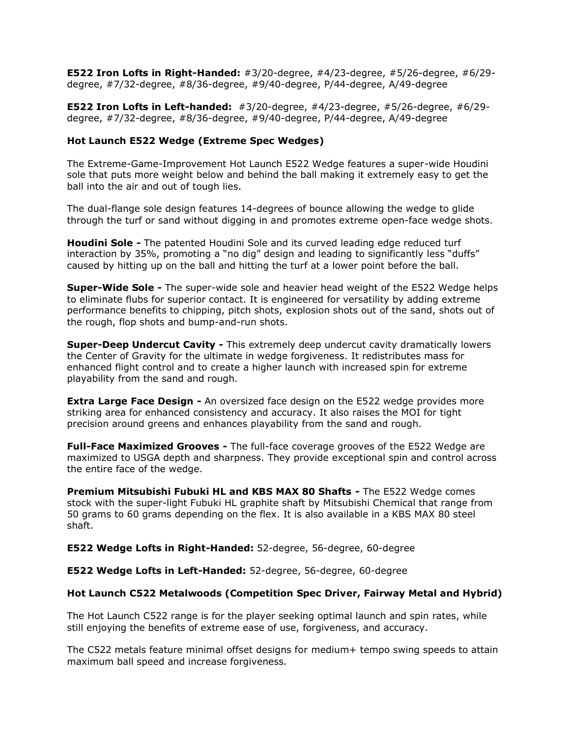**E522 Iron Lofts in Right-Handed:** #3/20-degree, #4/23-degree, #5/26-degree, #6/29 degree, #7/32-degree, #8/36-degree, #9/40-degree, P/44-degree, A/49-degree

**E522 Iron Lofts in Left-handed:** #3/20-degree, #4/23-degree, #5/26-degree, #6/29 degree, #7/32-degree, #8/36-degree, #9/40-degree, P/44-degree, A/49-degree

### **Hot Launch E522 Wedge (Extreme Spec Wedges)**

The Extreme-Game-Improvement Hot Launch E522 Wedge features a super-wide Houdini sole that puts more weight below and behind the ball making it extremely easy to get the ball into the air and out of tough lies.

The dual-flange sole design features 14-degrees of bounce allowing the wedge to glide through the turf or sand without digging in and promotes extreme open-face wedge shots.

**Houdini Sole -** The patented Houdini Sole and its curved leading edge reduced turf interaction by 35%, promoting a "no dig" design and leading to significantly less "duffs" caused by hitting up on the ball and hitting the turf at a lower point before the ball.

**Super-Wide Sole -** The super-wide sole and heavier head weight of the E522 Wedge helps to eliminate flubs for superior contact. It is engineered for versatility by adding extreme performance benefits to chipping, pitch shots, explosion shots out of the sand, shots out of the rough, flop shots and bump-and-run shots.

**Super-Deep Undercut Cavity -** This extremely deep undercut cavity dramatically lowers the Center of Gravity for the ultimate in wedge forgiveness. It redistributes mass for enhanced flight control and to create a higher launch with increased spin for extreme playability from the sand and rough.

**Extra Large Face Design -** An oversized face design on the E522 wedge provides more striking area for enhanced consistency and accuracy. It also raises the MOI for tight precision around greens and enhances playability from the sand and rough.

**Full-Face Maximized Grooves -** The full-face coverage grooves of the E522 Wedge are maximized to USGA depth and sharpness. They provide exceptional spin and control across the entire face of the wedge.

**Premium Mitsubishi Fubuki HL and KBS MAX 80 Shafts -** The E522 Wedge comes stock with the super-light Fubuki HL graphite shaft by Mitsubishi Chemical that range from 50 grams to 60 grams depending on the flex. It is also available in a KBS MAX 80 steel shaft.

**E522 Wedge Lofts in Right-Handed:** 52-degree, 56-degree, 60-degree

**E522 Wedge Lofts in Left-Handed:** 52-degree, 56-degree, 60-degree

# **Hot Launch C522 Metalwoods (Competition Spec Driver, Fairway Metal and Hybrid)**

The Hot Launch C522 range is for the player seeking optimal launch and spin rates, while still enjoying the benefits of extreme ease of use, forgiveness, and accuracy.

The C522 metals feature minimal offset designs for medium+ tempo swing speeds to attain maximum ball speed and increase forgiveness.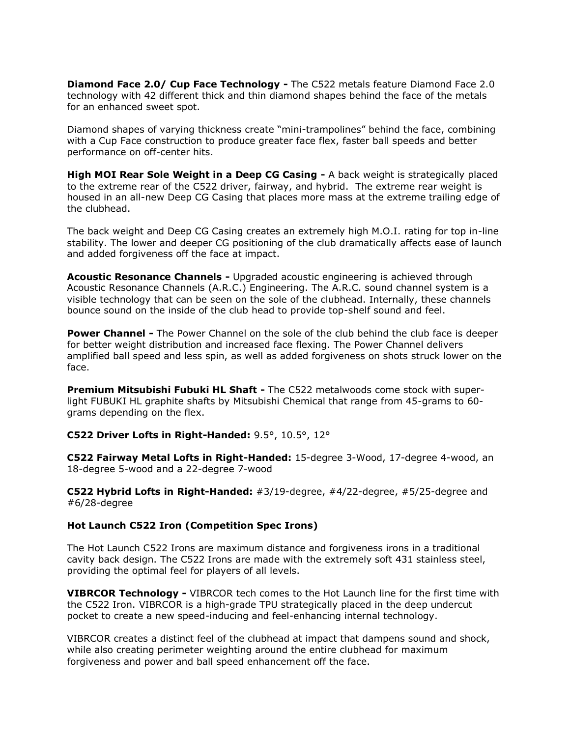**Diamond Face 2.0/ Cup Face Technology -** The C522 metals feature Diamond Face 2.0 technology with 42 different thick and thin diamond shapes behind the face of the metals for an enhanced sweet spot.

Diamond shapes of varying thickness create "mini-trampolines" behind the face, combining with a Cup Face construction to produce greater face flex, faster ball speeds and better performance on off-center hits.

**High MOI Rear Sole Weight in a Deep CG Casing -** A back weight is strategically placed to the extreme rear of the C522 driver, fairway, and hybrid. The extreme rear weight is housed in an all-new Deep CG Casing that places more mass at the extreme trailing edge of the clubhead.

The back weight and Deep CG Casing creates an extremely high M.O.I. rating for top in-line stability. The lower and deeper CG positioning of the club dramatically affects ease of launch and added forgiveness off the face at impact.

**Acoustic Resonance Channels -** Upgraded acoustic engineering is achieved through Acoustic Resonance Channels (A.R.C.) Engineering. The A.R.C. sound channel system is a visible technology that can be seen on the sole of the clubhead. Internally, these channels bounce sound on the inside of the club head to provide top-shelf sound and feel.

**Power Channel -** The Power Channel on the sole of the club behind the club face is deeper for better weight distribution and increased face flexing. The Power Channel delivers amplified ball speed and less spin, as well as added forgiveness on shots struck lower on the face.

**Premium Mitsubishi Fubuki HL Shaft -** The C522 metalwoods come stock with superlight FUBUKI HL graphite shafts by Mitsubishi Chemical that range from 45-grams to 60 grams depending on the flex.

### **C522 Driver Lofts in Right-Handed:** 9.5°, 10.5°, 12°

**C522 Fairway Metal Lofts in Right-Handed:** 15-degree 3-Wood, 17-degree 4-wood, an 18-degree 5-wood and a 22-degree 7-wood

**C522 Hybrid Lofts in Right-Handed:** #3/19-degree, #4/22-degree, #5/25-degree and #6/28-degree

#### **Hot Launch C522 Iron (Competition Spec Irons)**

The Hot Launch C522 Irons are maximum distance and forgiveness irons in a traditional cavity back design. The C522 Irons are made with the extremely soft 431 stainless steel, providing the optimal feel for players of all levels.

**VIBRCOR Technology -** VIBRCOR tech comes to the Hot Launch line for the first time with the C522 Iron. VIBRCOR is a high-grade TPU strategically placed in the deep undercut pocket to create a new speed-inducing and feel-enhancing internal technology.

VIBRCOR creates a distinct feel of the clubhead at impact that dampens sound and shock, while also creating perimeter weighting around the entire clubhead for maximum forgiveness and power and ball speed enhancement off the face.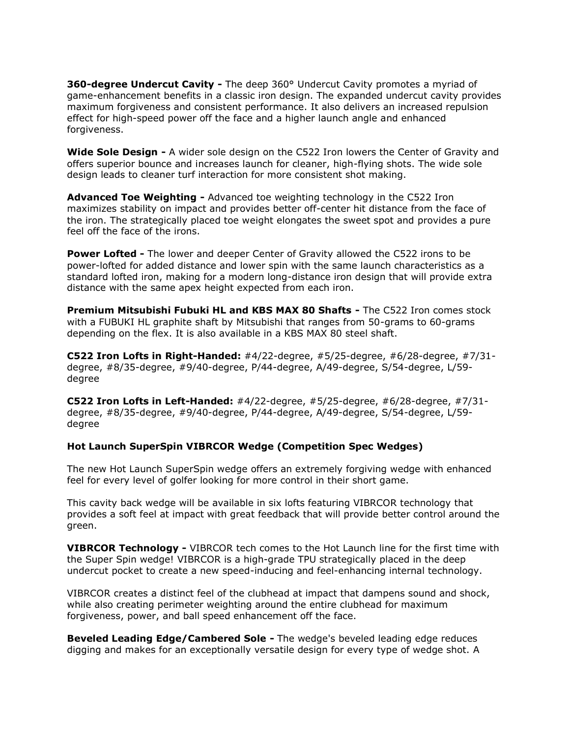**360-degree Undercut Cavity -** The deep 360° Undercut Cavity promotes a myriad of game-enhancement benefits in a classic iron design. The expanded undercut cavity provides maximum forgiveness and consistent performance. It also delivers an increased repulsion effect for high-speed power off the face and a higher launch angle and enhanced forgiveness.

**Wide Sole Design -** A wider sole design on the C522 Iron lowers the Center of Gravity and offers superior bounce and increases launch for cleaner, high-flying shots. The wide sole design leads to cleaner turf interaction for more consistent shot making.

**Advanced Toe Weighting -** Advanced toe weighting technology in the C522 Iron maximizes stability on impact and provides better off-center hit distance from the face of the iron. The strategically placed toe weight elongates the sweet spot and provides a pure feel off the face of the irons.

**Power Lofted -** The lower and deeper Center of Gravity allowed the C522 irons to be power-lofted for added distance and lower spin with the same launch characteristics as a standard lofted iron, making for a modern long-distance iron design that will provide extra distance with the same apex height expected from each iron.

**Premium Mitsubishi Fubuki HL and KBS MAX 80 Shafts -** The C522 Iron comes stock with a FUBUKI HL graphite shaft by Mitsubishi that ranges from 50-grams to 60-grams depending on the flex. It is also available in a KBS MAX 80 steel shaft.

**C522 Iron Lofts in Right-Handed:** #4/22-degree, #5/25-degree, #6/28-degree, #7/31 degree, #8/35-degree, #9/40-degree, P/44-degree, A/49-degree, S/54-degree, L/59 degree

**C522 Iron Lofts in Left-Handed:** #4/22-degree, #5/25-degree, #6/28-degree, #7/31 degree, #8/35-degree, #9/40-degree, P/44-degree, A/49-degree, S/54-degree, L/59 degree

# **Hot Launch SuperSpin VIBRCOR Wedge (Competition Spec Wedges)**

The new Hot Launch SuperSpin wedge offers an extremely forgiving wedge with enhanced feel for every level of golfer looking for more control in their short game.

This cavity back wedge will be available in six lofts featuring VIBRCOR technology that provides a soft feel at impact with great feedback that will provide better control around the green.

**VIBRCOR Technology -** VIBRCOR tech comes to the Hot Launch line for the first time with the Super Spin wedge! VIBRCOR is a high-grade TPU strategically placed in the deep undercut pocket to create a new speed-inducing and feel-enhancing internal technology.

VIBRCOR creates a distinct feel of the clubhead at impact that dampens sound and shock, while also creating perimeter weighting around the entire clubhead for maximum forgiveness, power, and ball speed enhancement off the face.

**Beveled Leading Edge/Cambered Sole -** The wedge's beveled leading edge reduces digging and makes for an exceptionally versatile design for every type of wedge shot. A